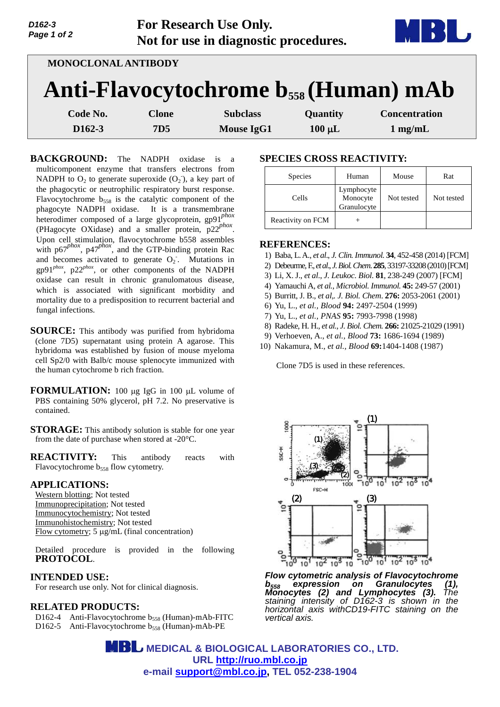| D <sub>162</sub> -3<br>Page 1 of 2 | <b>For Research Use Only.</b><br>Not for use in diagnostic procedures. | MBI U |
|------------------------------------|------------------------------------------------------------------------|-------|
|                                    | <b>MONOCLONAL ANTIBODY</b>                                             |       |
|                                    | Anti-Flavocytochrome b <sub>558</sub> (Human) mAb                      |       |

| Code No. | Clone | <b>Subclass</b> | <b>Quantity</b> | <b>Concentration</b> |
|----------|-------|-----------------|-----------------|----------------------|
| D162-3   | 7D5   | Mouse IgG1      | $100 \mu L$     | $1$ mg/mL            |

**BACKGROUND:** The NADPH oxidase is a multicomponent enzyme that transfers electrons from NADPH to  $O_2$  to generate superoxide  $(O_2)$ , a key part of the phagocytic or neutrophilic respiratory burst response. Flavocytochrome  $b_{558}$  is the catalytic component of the phagocyte NADPH oxidase. It is a transmembrane heterodimer composed of a large glycoprotein, gp91*phox* (PHagocyte OXidase) and a smaller protein, p22*phox* . Upon cell stimulation, flavocytochrome b558 assembles with p67<sup>*phox*</sup>, p47<sup>*phox*</sup>, and the GTP-binding protein Rac and becomes activated to generate  $O_2$ . Mutations in gp91*phox*, p22*phox*, or other components of the NADPH oxidase can result in chronic granulomatous disease, which is associated with significant morbidity and mortality due to a predisposition to recurrent bacterial and fungal infections.

- **SOURCE:** This antibody was purified from hybridoma (clone 7D5) supernatant using protein A agarose. This hybridoma was established by fusion of mouse myeloma cell Sp2/0 with Balb/c mouse splenocyte immunized with the human cytochrome b rich fraction.
- **FORMULATION:** 100 µg IgG in 100 µL volume of PBS containing 50% glycerol, pH 7.2. No preservative is contained.
- **STORAGE:** This antibody solution is stable for one year from the date of purchase when stored at -20°C.
- **REACTIVITY:** This antibody reacts with Flavocytochrome b<sub>558</sub> flow cytometry.

### **APPLICATIONS:**

Western blotting; Not tested Immunoprecipitation; Not tested Immunocytochemistry; Not tested Immunohistochemistry; Not tested Flow cytometry;  $5 \mu g/mL$  (final concentration)

Detailed procedure is provided in the following **PROTOCOL**.

### **INTENDED USE:**

For research use only. Not for clinical diagnosis.

# **RELATED PRODUCTS:**

D162-4 Anti-Flavocytochrome  $b_{558}$  (Human)-mAb-FITC D162-5 Anti-Flavocytochrome  $b_{558}$  (Human)-mAb-PE

## **SPECIES CROSS REACTIVITY:**

| <b>Species</b>    | Human                                 | Mouse      | Rat        |
|-------------------|---------------------------------------|------------|------------|
| Cells             | Lymphocyte<br>Monocyte<br>Granulocyte | Not tested | Not tested |
| Reactivity on FCM |                                       |            |            |

### **REFERENCES:**

- 1) Baba, L. A., *et al*., *J. Clin. Immunol.* **34**, 452-458 (2014) [FCM]
- 2) Debeurme,F., *et al*., *J. Biol. Chem*. **285**, 33197-33208 (2010)[FCM]
- 3) Li, X. J., *et al*., *J. Leukoc. Biol*. **81**, 238-249 (2007) [FCM]
- 4) Yamauchi A, *et al., Microbiol. Immunol.* **45:** 249-57 (2001)
- 5) Burritt, J. B., *et al,. J. Biol. Chem*. **276:** 2053-2061 (2001)
- 6) Yu, L., *et al., Blood* **94:** 2497-2504 (1999)
- 7) Yu, L., *et al., PNAS* **95:** 7993-7998 (1998)
- 8) Radeke, H. H., *et al., J. Biol. Chem.* **266:** 21025-21029 (1991)
- 9) Verhoeven, A., *et al., Blood* **73:** 1686-1694 (1989)
- 10) Nakamura, M., *et al., Blood* **69:**1404-1408 (1987)

Clone 7D5 is used in these references.



*Flow cytometric analysis of Flavocytochrome b<sup>558</sup> expression on Granulocytes (1), Monocytes (2) and Lymphocytes (3). The staining intensity of D162-3 is shown in the horizontal axis withCD19-FITC staining on the vertical axis.*

**MBL** MEDICAL & BIOLOGICAL LABORATORIES CO., LTD. **URL <http://ruo.mbl.co.jp> e-mail [support@mbl.co.jp,](mailto:support@mbl.co.jp) TEL 052-238-1904**